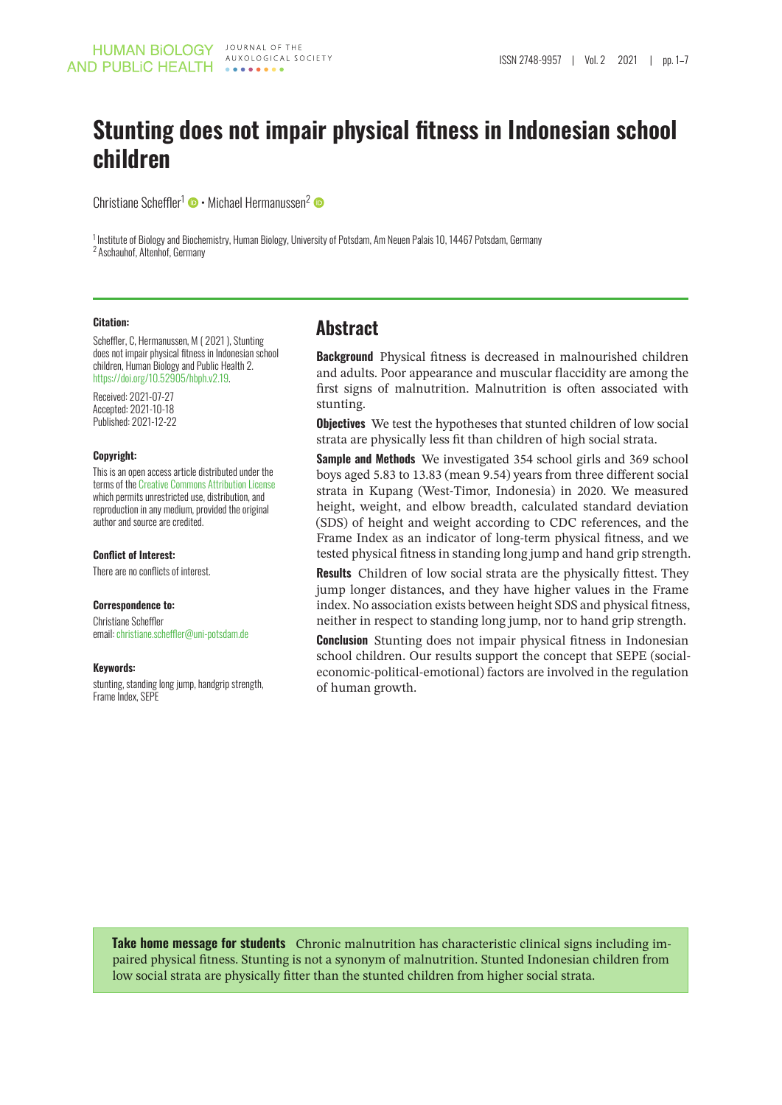# **Stunting does not impair physical fitness in Indonesian school children**

Christiane Scheffler<sup>1</sup> • Michael Hermanussen<sup>2</sup>

<sup>1</sup> Institute of Biology and Biochemistry, Human Biology, University of Potsdam, Am Neuen Palais 10, 14467 Potsdam, Germany 2 Aschauhof, Altenhof, Germany

### **Citation:**

Scheffler, C, Hermanussen, M ( 2021 ), Stunting does not impair physical fitness in Indonesian school children, Human Biology and Public Health 2. [https://doi.org/10.52905/hbph.v2.19.](https://doi.org/10.52905/hbph.v2.19)

Received: 2021-07-27 Accepted: 2021-10-18 Published: 2021-12-22

### **Copyright:**

This is an open access article distributed under the terms of the [Creative Commons Attribution License](https://creativecommons.org/licenses/by/4.0) which permits unrestricted use, distribution, and reproduction in any medium, provided the original author and source are credited.

### **Conflict of Interest:**

There are no conflicts of interest.

### **Correspondence to:**

Christiane Scheffler email: [christiane.scheffler@uni-potsdam.de](mailto:christiane.scheffler@unipotsdam.de)

### **Keywords:**

stunting, standing long jump, handgrip strength, Frame Index, SEPE

### **Abstract**

**Background** Physical fitness is decreased in malnourished children and adults. Poor appearance and muscular flaccidity are among the first signs of malnutrition. Malnutrition is often associated with stunting.

**Objectives** We test the hypotheses that stunted children of low social strata are physically less fit than children of high social strata.

**Sample and Methods** We investigated 354 school girls and 369 school boys aged 5.83 to 13.83 (mean 9.54) years from three different social strata in Kupang (West-Timor, Indonesia) in 2020. We measured height, weight, and elbow breadth, calculated standard deviation (SDS) of height and weight according to CDC references, and the Frame Index as an indicator of long-term physical fitness, and we tested physical fitness in standing long jump and hand grip strength.

**Results** Children of low social strata are the physically fittest. They jump longer distances, and they have higher values in the Frame index. No association exists between height SDS and physical fitness, neither in respect to standing long jump, nor to hand grip strength.

**Conclusion** Stunting does not impair physical fitness in Indonesian school children. Our results support the concept that SEPE (socialeconomic-political-emotional) factors are involved in the regulation of human growth.

**Take home message for students** Chronic malnutrition has characteristic clinical signs including impaired physical fitness. Stunting is not a synonym of malnutrition. Stunted Indonesian children from low social strata are physically fitter than the stunted children from higher social strata.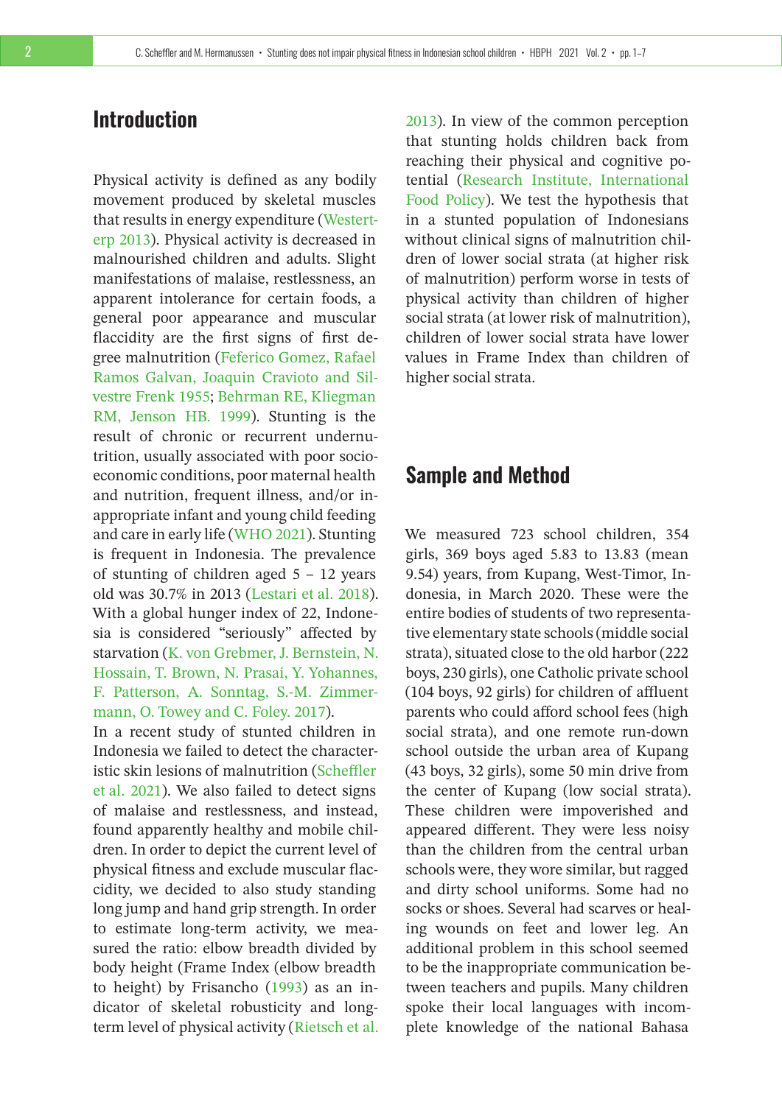## **Introduction**

Physical activity is defined as any bodily movement produced by skeletal muscles that results in energy expenditure [\(Westert](#page-6-0)[erp 2013\)](#page-6-0). Physical activity is decreased in malnourished children and adults. Slight manifestations of malaise, restlessness, an apparent intolerance for certain foods, a general poor appearance and muscular flaccidity are the first signs of first degree malnutrition [\(Feferico Gomez, Rafael](#page-5-0) [Ramos Galvan, Joaquin Cravioto and Sil](#page-5-0)[vestre Frenk 1955;](#page-5-0) [Behrman RE, Kliegman](#page-5-1) [RM, Jenson HB. 1999\)](#page-5-1). Stunting is the result of chronic or recurrent undernutrition, usually associated with poor socioeconomic conditions, poor maternal health and nutrition, frequent illness, and/or inappropriate infant and young child feeding and care in early life [\(WHO 2021\)](#page-6-1). Stunting is frequent in Indonesia. The prevalence of stunting of children aged 5 – 12 years old was 30.7% in 2013 [\(Lestari et al. 2018\)](#page-5-2). With a global hunger index of 22, Indonesia is considered "seriously" affected by starvation [\(K. von Grebmer, J. Bernstein, N.](#page-5-3) [Hossain, T. Brown, N. Prasai, Y. Yohannes,](#page-5-3) [F. Patterson, A. Sonntag, S.-M. Zimmer](#page-5-3)[mann, O. Towey and C. Foley. 2017\)](#page-5-3).

In a recent study of stunted children in Indonesia we failed to detect the characteristic skin lesions of malnutrition [\(Scheffler](#page-5-4) [et al. 2021\)](#page-5-4). We also failed to detect signs of malaise and restlessness, and instead, found apparently healthy and mobile children. In order to depict the current level of physical fitness and exclude muscular flaccidity, we decided to also study standing long jump and hand grip strength. In order to estimate long-term activity, we measured the ratio: elbow breadth divided by body height (Frame Index (elbow breadth to height) by Frisancho [\(1993\)](#page-5-5) as an indicator of skeletal robusticity and longterm level of physical activity [\(Rietsch et al.](#page-5-6)

[2013\)](#page-5-6). In view of the common perception that stunting holds children back from reaching their physical and cognitive potential [\(Research Institute, International](#page-5-7) [Food Policy\)](#page-5-7). We test the hypothesis that in a stunted population of Indonesians without clinical signs of malnutrition children of lower social strata (at higher risk of malnutrition) perform worse in tests of physical activity than children of higher social strata (at lower risk of malnutrition), children of lower social strata have lower values in Frame Index than children of higher social strata.

## **Sample and Method**

We measured 723 school children, 354 girls, 369 boys aged 5.83 to 13.83 (mean 9.54) years, from Kupang, West-Timor, Indonesia, in March 2020. These were the entire bodies of students of two representative elementary state schools (middle social strata), situated close to the old harbor (222 boys, 230 girls), one Catholic private school (104 boys, 92 girls) for children of affluent parents who could afford school fees (high social strata), and one remote run-down school outside the urban area of Kupang (43 boys, 32 girls), some 50 min drive from the center of Kupang (low social strata). These children were impoverished and appeared different. They were less noisy than the children from the central urban schools were, they wore similar, but ragged and dirty school uniforms. Some had no socks or shoes. Several had scarves or healing wounds on feet and lower leg. An additional problem in this school seemed to be the inappropriate communication between teachers and pupils. Many children spoke their local languages with incomplete knowledge of the national Bahasa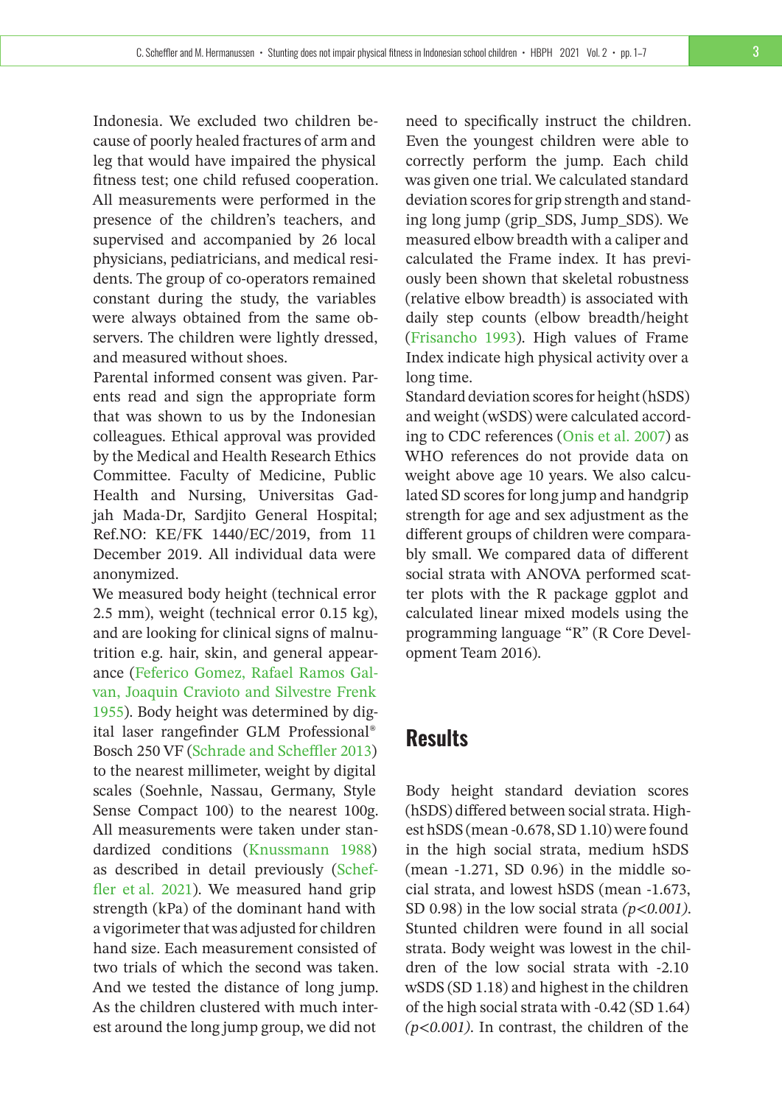Indonesia. We excluded two children because of poorly healed fractures of arm and leg that would have impaired the physical fitness test; one child refused cooperation. All measurements were performed in the presence of the children's teachers, and supervised and accompanied by 26 local physicians, pediatricians, and medical residents. The group of co-operators remained constant during the study, the variables were always obtained from the same observers. The children were lightly dressed, and measured without shoes.

Parental informed consent was given. Parents read and sign the appropriate form that was shown to us by the Indonesian colleagues. Ethical approval was provided by the Medical and Health Research Ethics Committee. Faculty of Medicine, Public Health and Nursing, Universitas Gadjah Mada-Dr, Sardjito General Hospital; Ref.NO: KE/FK 1440/EC/2019, from 11 December 2019. All individual data were anonymized.

We measured body height (technical error 2.5 mm), weight (technical error 0.15 kg), and are looking for clinical signs of malnutrition e.g. hair, skin, and general appearance [\(Feferico Gomez, Rafael Ramos Gal](#page-5-0)[van, Joaquin Cravioto and Silvestre Frenk](#page-5-0) [1955\)](#page-5-0). Body height was determined by digital laser rangefinder GLM Professional® Bosch 250 VF [\(Schrade and Scheffler 2013\)](#page-6-2) to the nearest millimeter, weight by digital scales (Soehnle, Nassau, Germany, Style Sense Compact 100) to the nearest 100g. All measurements were taken under standardized conditions [\(Knussmann 1988\)](#page-5-8) as described in detail previously [\(Schef](#page-5-4)[fler et al. 2021\)](#page-5-4). We measured hand grip strength (kPa) of the dominant hand with a vigorimeter that was adjusted for children hand size. Each measurement consisted of two trials of which the second was taken. And we tested the distance of long jump. As the children clustered with much interest around the long jump group, we did not

need to specifically instruct the children. Even the youngest children were able to correctly perform the jump. Each child was given one trial. We calculated standard deviation scores for grip strength and standing long jump (grip\_SDS, Jump\_SDS). We measured elbow breadth with a caliper and calculated the Frame index. It has previously been shown that skeletal robustness (relative elbow breadth) is associated with daily step counts (elbow breadth/height [\(Frisancho 1993\)](#page-5-5). High values of Frame Index indicate high physical activity over a long time.

Standard deviation scores for height (hSDS) and weight (wSDS) were calculated according to CDC references [\(Onis et al. 2007\)](#page-5-9) as WHO references do not provide data on weight above age 10 years. We also calculated SD scores for long jump and handgrip strength for age and sex adjustment as the different groups of children were comparably small. We compared data of different social strata with ANOVA performed scatter plots with the R package ggplot and calculated linear mixed models using the programming language "R" (R Core Development Team 2016).

## **Results**

Body height standard deviation scores (hSDS) differed between social strata. Highest hSDS (mean -0.678, SD 1.10) were found in the high social strata, medium hSDS (mean -1.271, SD 0.96) in the middle social strata, and lowest hSDS (mean -1.673, SD 0.98) in the low social strata *(p<0.001)*. Stunted children were found in all social strata. Body weight was lowest in the children of the low social strata with -2.10 wSDS (SD 1.18) and highest in the children of the high social strata with -0.42 (SD 1.64) *(p<0.001)*. In contrast, the children of the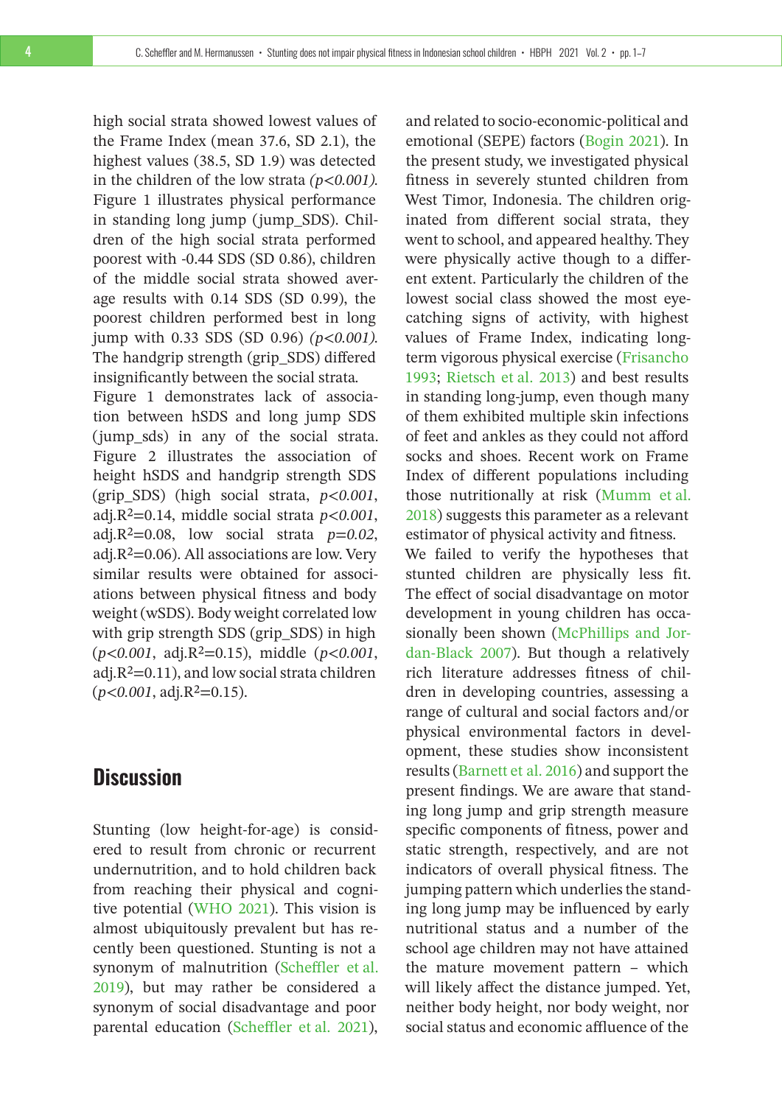high social strata showed lowest values of the Frame Index (mean 37.6, SD 2.1), the highest values (38.5, SD 1.9) was detected in the children of the low strata *(p<0.001).* Figure 1 illustrates physical performance in standing long jump (jump\_SDS). Children of the high social strata performed poorest with -0.44 SDS (SD 0.86), children of the middle social strata showed average results with 0.14 SDS (SD 0.99), the poorest children performed best in long jump with 0.33 SDS (SD 0.96) *(p<0.001).* The handgrip strength (grip\_SDS) differed insignificantly between the social strata*.*

Figure 1 demonstrates lack of association between hSDS and long jump SDS (jump\_sds) in any of the social strata. Figure 2 illustrates the association of height hSDS and handgrip strength SDS (grip\_SDS) (high social strata, *p<0.001*, adj.R²=0.14, middle social strata *p<0.001*, adj.R<sup>2</sup>=0.08, low social strata  $p=0.02$ , adj. $R<sup>2</sup>=0.06$ ). All associations are low. Very similar results were obtained for associations between physical fitness and body weight (wSDS). Body weight correlated low with grip strength SDS (grip\_SDS) in high (*p<0.001*, adj.R²=0.15), middle (*p<0.001*, adj. $R^2$ =0.11), and low social strata children  $(p<0.001, \text{adj.}R^2=0.15)$ .

## **Discussion**

Stunting (low height-for-age) is considered to result from chronic or recurrent undernutrition, and to hold children back from reaching their physical and cognitive potential [\(WHO 2021\)](#page-6-1). This vision is almost ubiquitously prevalent but has recently been questioned. Stunting is not a synonym of malnutrition [\(Scheffler et al.](#page-5-10) [2019\)](#page-5-10), but may rather be considered a synonym of social disadvantage and poor parental education [\(Scheffler et al. 2021\)](#page-5-4),

and related to socio-economic-political and emotional (SEPE) factors [\(Bogin 2021\)](#page-5-11). In the present study, we investigated physical fitness in severely stunted children from West Timor, Indonesia. The children originated from different social strata, they went to school, and appeared healthy. They were physically active though to a different extent. Particularly the children of the lowest social class showed the most eyecatching signs of activity, with highest values of Frame Index, indicating longterm vigorous physical exercise [\(Frisancho](#page-5-5) [1993;](#page-5-5) [Rietsch et al. 2013\)](#page-5-6) and best results in standing long-jump, even though many of them exhibited multiple skin infections of feet and ankles as they could not afford socks and shoes. Recent work on Frame Index of different populations including those nutritionally at risk [\(Mumm et al.](#page-5-12) [2018\)](#page-5-12) suggests this parameter as a relevant estimator of physical activity and fitness.

We failed to verify the hypotheses that stunted children are physically less fit. The effect of social disadvantage on motor development in young children has occasionally been shown [\(McPhillips and Jor](#page-5-13)[dan-Black 2007\)](#page-5-13). But though a relatively rich literature addresses fitness of children in developing countries, assessing a range of cultural and social factors and/or physical environmental factors in development, these studies show inconsistent results [\(Barnett et al. 2016\)](#page-5-14) and support the present findings. We are aware that standing long jump and grip strength measure specific components of fitness, power and static strength, respectively, and are not indicators of overall physical fitness. The jumping pattern which underlies the standing long jump may be influenced by early nutritional status and a number of the school age children may not have attained the mature movement pattern – which will likely affect the distance jumped. Yet, neither body height, nor body weight, nor social status and economic affluence of the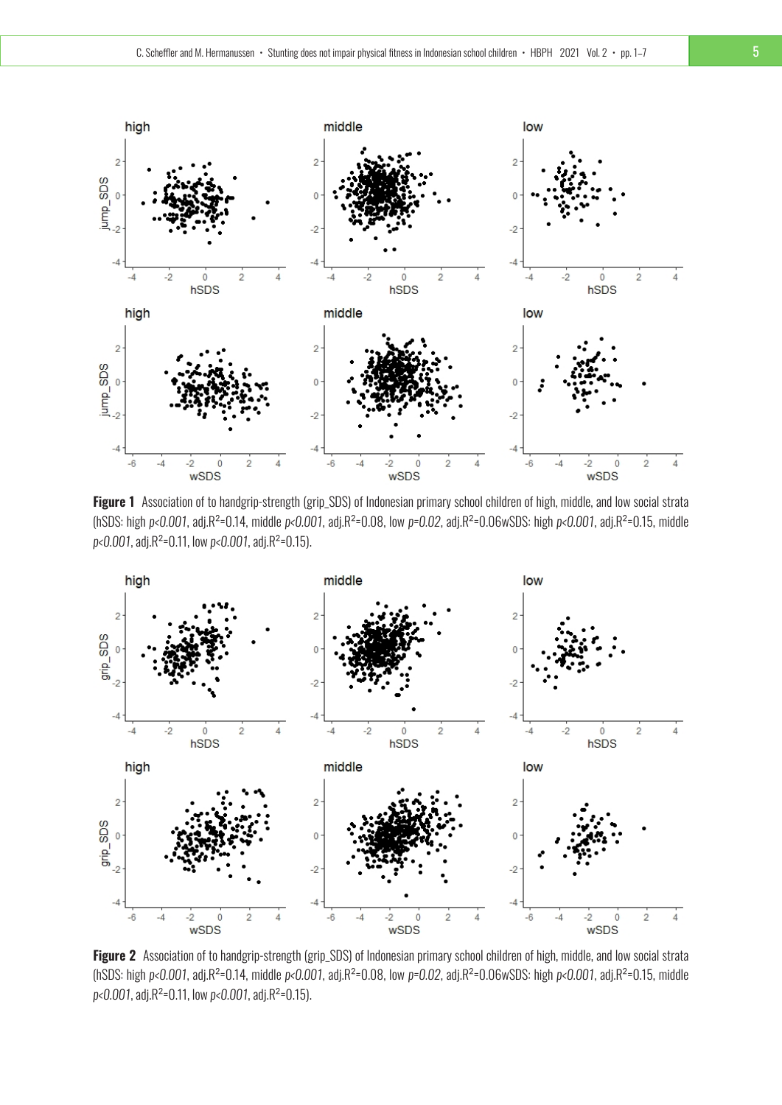

Figure 1 Association of to handgrip-strength (grip\_SDS) of Indonesian primary school children of high, middle, and low social strata (hSDS: high *p<0.001*, adj.R²=0.14, middle *p<0.001*, adj.R²=0.08, low *p=0.02*, adj.R²=0.06wSDS: high *p<0.001*, adj.R²=0.15, middle *p<0.001*, adj.R²=0.11, low *p<0.001*, adj.R²=0.15).



**Figure 2** Association of to handgrip-strength (grip\_SDS) of Indonesian primary school children of high, middle, and low social strata (hSDS: high *p<0.001*, adj.R²=0.14, middle *p<0.001*, adj.R²=0.08, low *p=0.02*, adj.R²=0.06wSDS: high *p<0.001*, adj.R²=0.15, middle *p<0.001*, adj.R²=0.11, low *p<0.001*, adj.R²=0.15).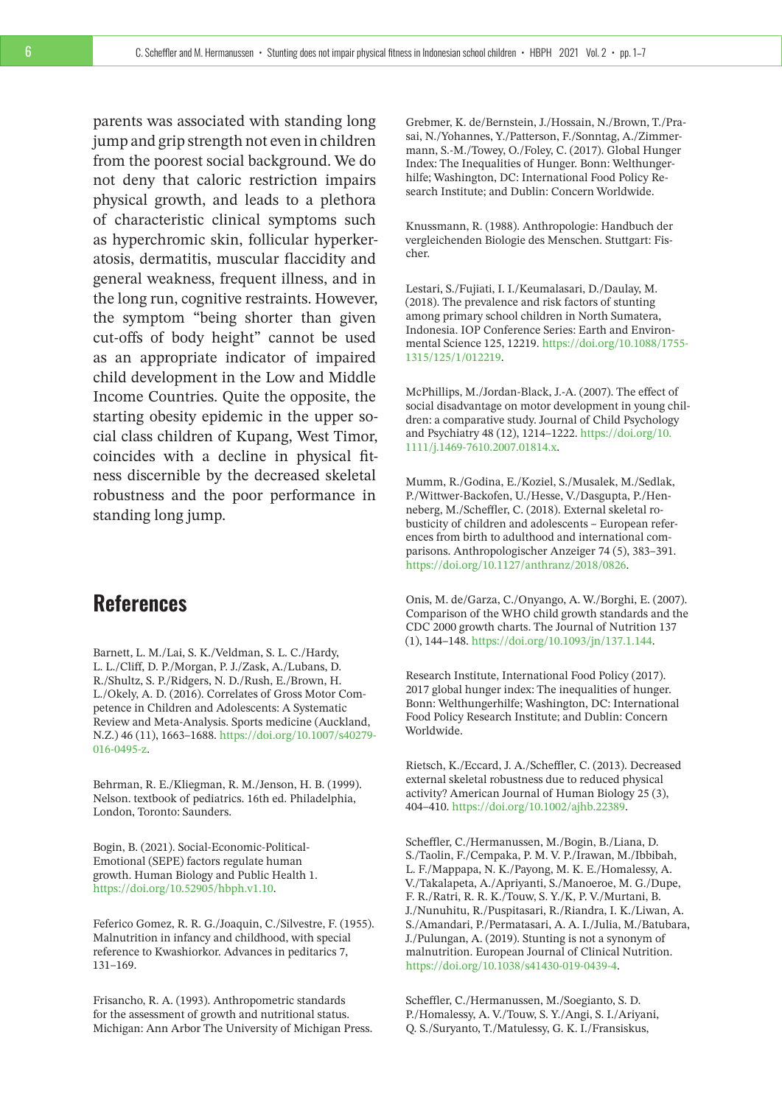parents was associated with standing long jump and grip strength not even in children from the poorest social background. We do not deny that caloric restriction impairs physical growth, and leads to a plethora of characteristic clinical symptoms such as hyperchromic skin, follicular hyperkeratosis, dermatitis, muscular flaccidity and general weakness, frequent illness, and in the long run, cognitive restraints. However, the symptom "being shorter than given cut-offs of body height" cannot be used as an appropriate indicator of impaired child development in the Low and Middle Income Countries. Quite the opposite, the starting obesity epidemic in the upper social class children of Kupang, West Timor, coincides with a decline in physical fitness discernible by the decreased skeletal robustness and the poor performance in standing long jump.

## **References**

<span id="page-5-14"></span>Barnett, L. M./Lai, S. K./Veldman, S. L. C./Hardy, L. L./Cliff, D. P./Morgan, P. J./Zask, A./Lubans, D. R./Shultz, S. P./Ridgers, N. D./Rush, E./Brown, H. L./Okely, A. D. (2016). Correlates of Gross Motor Competence in Children and Adolescents: A Systematic Review and Meta-Analysis. Sports medicine (Auckland, N.Z.) 46 (11), 1663–1688. [https://doi.org/10.1007/s40279-](https://doi.org/10.1007/s40279-016-0495-z) [016-0495-z.](https://doi.org/10.1007/s40279-016-0495-z)

<span id="page-5-1"></span>Behrman, R. E./Kliegman, R. M./Jenson, H. B. (1999). Nelson. textbook of pediatrics. 16th ed. Philadelphia, London, Toronto: Saunders.

<span id="page-5-11"></span>Bogin, B. (2021). Social-Economic-Political-Emotional (SEPE) factors regulate human growth. Human Biology and Public Health 1. [https://doi.org/10.52905/hbph.v1.10.](https://doi.org/10.52905/hbph.v1.10)

<span id="page-5-0"></span>Feferico Gomez, R. R. G./Joaquin, C./Silvestre, F. (1955). Malnutrition in infancy and childhood, with special reference to Kwashiorkor. Advances in peditarics 7, 131–169.

<span id="page-5-5"></span>Frisancho, R. A. (1993). Anthropometric standards for the assessment of growth and nutritional status. Michigan: Ann Arbor The University of Michigan Press. <span id="page-5-3"></span>Grebmer, K. de/Bernstein, J./Hossain, N./Brown, T./Prasai, N./Yohannes, Y./Patterson, F./Sonntag, A./Zimmermann, S.-M./Towey, O./Foley, C. (2017). Global Hunger Index: The Inequalities of Hunger. Bonn: Welthungerhilfe; Washington, DC: International Food Policy Research Institute; and Dublin: Concern Worldwide.

<span id="page-5-8"></span>Knussmann, R. (1988). Anthropologie: Handbuch der vergleichenden Biologie des Menschen. Stuttgart: Fischer.

<span id="page-5-2"></span>Lestari, S./Fujiati, I. I./Keumalasari, D./Daulay, M. (2018). The prevalence and risk factors of stunting among primary school children in North Sumatera, Indonesia. IOP Conference Series: Earth and Environmental Science 125, 12219. [https://doi.org/10.1088/1755-](https://doi.org/10.1088/1755-1315/125/1/012219) [1315/125/1/012219.](https://doi.org/10.1088/1755-1315/125/1/012219)

<span id="page-5-13"></span>McPhillips, M./Jordan-Black, J.-A. (2007). The effect of social disadvantage on motor development in young children: a comparative study. Journal of Child Psychology and Psychiatry 48 (12), 1214–1222. [https://doi.org/10.](https://doi.org/10.1111/j.1469-7610.2007.01814.x) [1111/j.1469-7610.2007.01814.x.](https://doi.org/10.1111/j.1469-7610.2007.01814.x)

<span id="page-5-12"></span>Mumm, R./Godina, E./Koziel, S./Musalek, M./Sedlak, P./Wittwer-Backofen, U./Hesse, V./Dasgupta, P./Henneberg, M./Scheffler, C. (2018). External skeletal robusticity of children and adolescents – European references from birth to adulthood and international comparisons. Anthropologischer Anzeiger 74 (5), 383–391. [https://doi.org/10.1127/anthranz/2018/0826.](https://doi.org/10.1127/anthranz/2018/0826)

<span id="page-5-9"></span>Onis, M. de/Garza, C./Onyango, A. W./Borghi, E. (2007). Comparison of the WHO child growth standards and the CDC 2000 growth charts. The Journal of Nutrition 137 (1), 144–148. [https://doi.org/10.1093/jn/137.1.144.](https://doi.org/10.1093/jn/137.1.144)

<span id="page-5-7"></span>Research Institute, International Food Policy (2017). 2017 global hunger index: The inequalities of hunger. Bonn: Welthungerhilfe; Washington, DC: International Food Policy Research Institute; and Dublin: Concern Worldwide.

<span id="page-5-6"></span>Rietsch, K./Eccard, J. A./Scheffler, C. (2013). Decreased external skeletal robustness due to reduced physical activity? American Journal of Human Biology 25 (3), 404–410. [https://doi.org/10.1002/ajhb.22389.](https://doi.org/10.1002/ajhb.22389)

<span id="page-5-10"></span>Scheffler, C./Hermanussen, M./Bogin, B./Liana, D. S./Taolin, F./Cempaka, P. M. V. P./Irawan, M./Ibbibah, L. F./Mappapa, N. K./Payong, M. K. E./Homalessy, A. V./Takalapeta, A./Apriyanti, S./Manoeroe, M. G./Dupe, F. R./Ratri, R. R. K./Touw, S. Y./K, P. V./Murtani, B. J./Nunuhitu, R./Puspitasari, R./Riandra, I. K./Liwan, A. S./Amandari, P./Permatasari, A. A. I./Julia, M./Batubara, J./Pulungan, A. (2019). Stunting is not a synonym of malnutrition. European Journal of Clinical Nutrition. [https://doi.org/10.1038/s41430-019-0439-4.](https://doi.org/10.1038/s41430-019-0439-4)

<span id="page-5-4"></span>Scheffler, C./Hermanussen, M./Soegianto, S. D. P./Homalessy, A. V./Touw, S. Y./Angi, S. I./Ariyani, Q. S./Suryanto, T./Matulessy, G. K. I./Fransiskus,